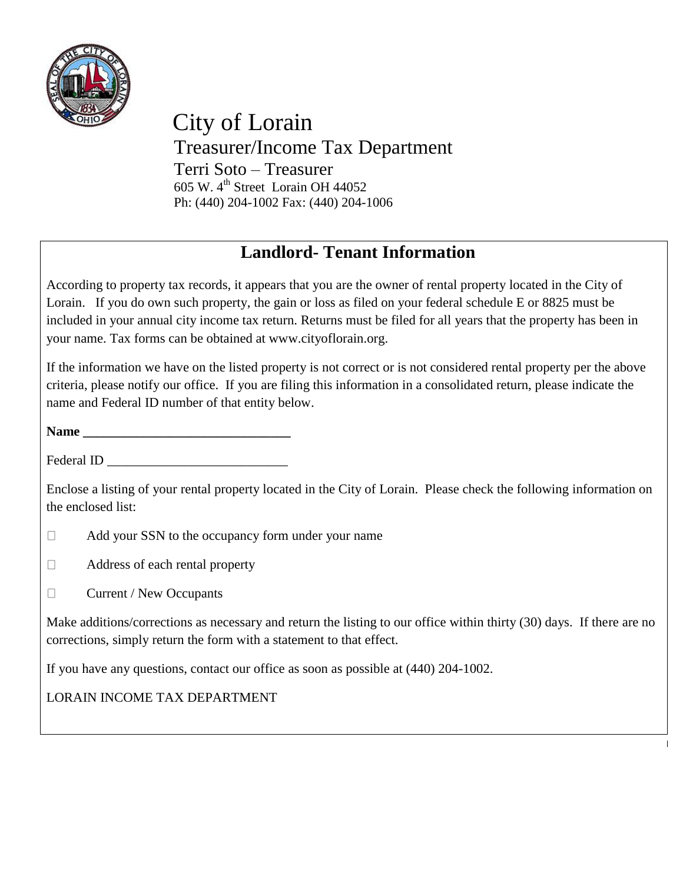

 City of Lorain Treasurer/Income Tax Department Terri Soto – Treasurer 605 W.  $4^{\text{th}}$  Street Lorain OH 44052 Ph: (440) 204-1002 Fax: (440) 204-1006

## **Landlord- Tenant Information**

According to property tax records, it appears that you are the owner of rental property located in the City of Lorain. If you do own such property, the gain or loss as filed on your federal schedule E or 8825 must be included in your annual city income tax return. Returns must be filed for all years that the property has been in your name. Tax forms can be obtained at www.cityoflorain.org.

If the information we have on the listed property is not correct or is not considered rental property per the above criteria, please notify our office. If you are filing this information in a consolidated return, please indicate the name and Federal ID number of that entity below.

**Name \_\_\_\_\_\_\_\_\_\_\_\_\_\_\_\_\_\_\_\_\_\_\_\_\_\_\_\_\_\_\_**

Federal ID \_\_\_\_\_\_\_\_\_\_\_\_\_\_\_\_\_\_\_\_\_\_\_\_\_\_\_

Enclose a listing of your rental property located in the City of Lorain. Please check the following information on the enclosed list:

- $\Box$ Add your SSN to the occupancy form under your name
- $\Box$ Address of each rental property
- $\Box$ Current / New Occupants

Make additions/corrections as necessary and return the listing to our office within thirty (30) days. If there are no corrections, simply return the form with a statement to that effect.

If you have any questions, contact our office as soon as possible at (440) 204-1002.

LORAIN INCOME TAX DEPARTMENT